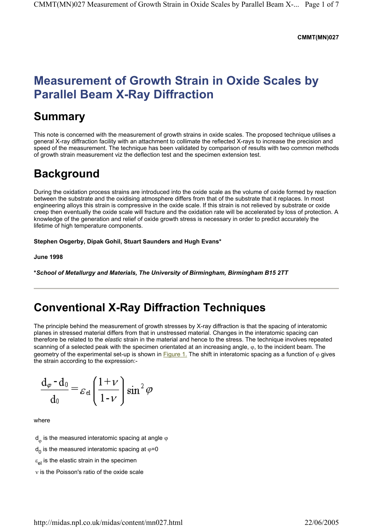#### **CMMT(MN)027**

# **Measurement of Growth Strain in Oxide Scales by Parallel Beam X-Ray Diffraction**

## **Summary**

This note is concerned with the measurement of growth strains in oxide scales. The proposed technique utilises a general X-ray diffraction facility with an attachment to collimate the reflected X-rays to increase the precision and speed of the measurement. The technique has been validated by comparison of results with two common methods of growth strain measurement viz the deflection test and the specimen extension test.

# **Background**

During the oxidation process strains are introduced into the oxide scale as the volume of oxide formed by reaction between the substrate and the oxidising atmosphere differs from that of the substrate that it replaces. In most engineering alloys this strain is compressive in the oxide scale. If this strain is not relieved by substrate or oxide creep then eventually the oxide scale will fracture and the oxidation rate will be accelerated by loss of protection. A knowledge of the generation and relief of oxide growth stress is necessary in order to predict accurately the lifetime of high temperature components.

**Stephen Osgerby, Dipak Gohil, Stuart Saunders and Hugh Evans\*** 

**June 1998** 

**\****School of Metallurgy and Materials, The University of Birmingham, Birmingham B15 2TT*

# **Conventional X-Ray Diffraction Techniques**

The principle behind the measurement of growth stresses by X-ray diffraction is that the spacing of interatomic planes in stressed material differs from that in unstressed material. Changes in the interatomic spacing can therefore be related to the *elastic* strain in the material and hence to the stress. The technique involves repeated scanning of a selected peak with the specimen orientated at an increasing angle, φ, to the incident beam. The geometry of the experimental set-up is shown in Figure 1. The shift in interatomic spacing as a function of  $\varphi$  gives the strain according to the expression:-

$$
\frac{d_{\varphi} \cdot d_0}{d_0} = \varepsilon_{el} \left( \frac{1+\nu}{1-\nu} \right) \sin^2 \varphi
$$

where

 $d_{\omega}$  is the measured interatomic spacing at angle  $\varphi$ 

 $d_0$  is the measured interatomic spacing at  $\varphi$ =0

 $\varepsilon_{el}$  is the elastic strain in the specimen

ν is the Poisson's ratio of the oxide scale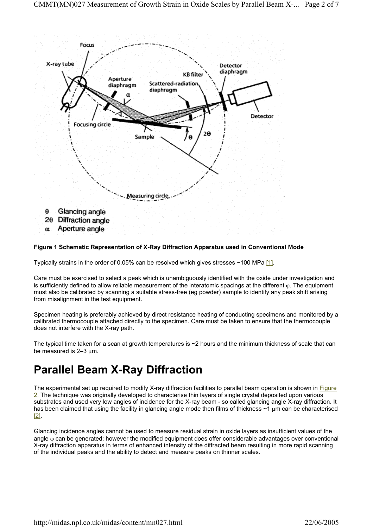

#### **Figure 1 Schematic Representation of X-Ray Diffraction Apparatus used in Conventional Mode**

Typically strains in the order of 0.05% can be resolved which gives stresses ~100 MPa [1].

Care must be exercised to select a peak which is unambiguously identified with the oxide under investigation and is sufficiently defined to allow reliable measurement of the interatomic spacings at the different <sub>Φ</sub>. The equipment must also be calibrated by scanning a suitable stress-free (eg powder) sample to identify any peak shift arising from misalignment in the test equipment.

Specimen heating is preferably achieved by direct resistance heating of conducting specimens and monitored by a calibrated thermocouple attached directly to the specimen. Care must be taken to ensure that the thermocouple does not interfere with the X-ray path.

The typical time taken for a scan at growth temperatures is  $\sim$  2 hours and the minimum thickness of scale that can be measured is  $2-3 \mu m$ .

# **Parallel Beam X-Ray Diffraction**

The experimental set up required to modify X-ray diffraction facilities to parallel beam operation is shown in Figure 2. The technique was originally developed to characterise thin layers of single crystal deposited upon various substrates and used very low angles of incidence for the X-ray beam - so called glancing angle X-ray diffraction. It has been claimed that using the facility in glancing angle mode then films of thickness  $\sim$ 1  $\mu$ m can be characterised [2].

Glancing incidence angles cannot be used to measure residual strain in oxide layers as insufficient values of the angle  $\varphi$  can be generated; however the modified equipment does offer considerable advantages over conventional X-ray diffraction apparatus in terms of enhanced intensity of the diffracted beam resulting in more rapid scanning of the individual peaks and the ability to detect and measure peaks on thinner scales.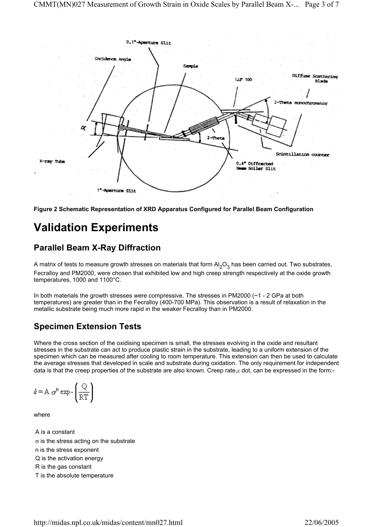



# **Validation Experiments**

## **Parallel Beam X-Ray Diffraction**

A matrix of tests to measure growth stresses on materials that form  $A I_2O_3$  has been carried out. Two substrates, Fecralloy and PM2000, were chosen that exhibited low and high creep strength respectively at the oxide growth temperatures, 1000 and 1100°C.

In both materials the growth stresses were compressive. The stresses in PM2000  $(\sim 1 - 2$  GPa at both temperatures) are greater than in the Fecralloy (400-700 MPa). This observation is a result of relaxation in the metallic substrate being much more rapid in the weaker Fecralloy than in PM2000.

## **Specimen Extension Tests**

Where the cross section of the oxidising specimen is small, the stresses evolving in the oxide and resultant stresses in the substrate can act to produce plastic strain in the substrate, leading to a uniform extension of the specimen which can be measured after cooling to room temperature. This extension can then be used to calculate the average stresses that developed in scale and substrate during oxidation. The only requirement for independent data is that the creep properties of the substrate are also known. Creep rate,ε dot, can be expressed in the form:-

$$
\dot{\varepsilon} = A \sigma^n \exp\left(\frac{Q}{RT}\right)
$$

where

A is a constant  $\sigma$  is the stress acting on the substrate n is the stress exponent Q is the activation energy R is the gas constant T is the absolute temperature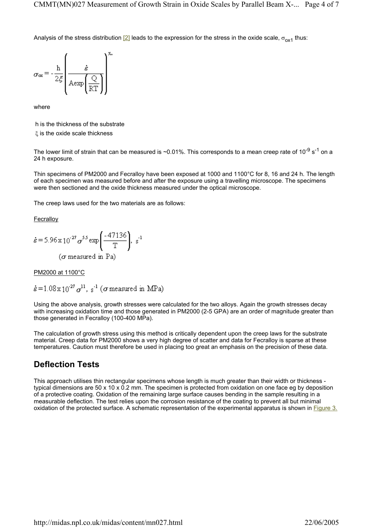Analysis of the stress distribution  $[2]$  leads to the expression for the stress in the oxide scale,  $\sigma_{ox1}$  thus:

$$
\sigma_{\text{ox}} = -\frac{h}{2\xi} \left( \frac{\dot{\varepsilon}}{\text{Aexp}\left(\frac{Q}{RT}\right)} \right)^{x_{\text{av}}}
$$

where

h is the thickness of the substrate

ξ is the oxide scale thickness

The lower limit of strain that can be measured is ~0.01%. This corresponds to a mean creep rate of 10<sup>-9</sup> s<sup>-1</sup> on a 24 h exposure.

Thin specimens of PM2000 and Fecralloy have been exposed at 1000 and 1100°C for 8, 16 and 24 h. The length of each specimen was measured before and after the exposure using a travelling microscope. The specimens were then sectioned and the oxide thickness measured under the optical microscope.

The creep laws used for the two materials are as follows:

Fecralloy

$$
\dot{\varepsilon} = 5.96 \times 10^{-27} \sigma^{5.5} \exp\left(\frac{-47136}{T}\right), \text{ s}^{-1}
$$
  
( $\sigma$  measured in Pa)

PM2000 at 1100°C

$$
\dot{\varepsilon} = 1.08 \times 10^{-27} \sigma^{11}, \; s^{-1} \; (\sigma \; \text{measured in MPa})
$$

Using the above analysis, growth stresses were calculated for the two alloys. Again the growth stresses decay with increasing oxidation time and those generated in PM2000 (2-5 GPA) are an order of magnitude greater than those generated in Fecralloy (100-400 MPa).

The calculation of growth stress using this method is critically dependent upon the creep laws for the substrate material. Creep data for PM2000 shows a very high degree of scatter and data for Fecralloy is sparse at these temperatures. Caution must therefore be used in placing too great an emphasis on the precision of these data.

### **Deflection Tests**

This approach utilises thin rectangular specimens whose length is much greater than their width or thickness typical dimensions are 50 x 10 x 0.2 mm. The specimen is protected from oxidation on one face eg by deposition of a protective coating. Oxidation of the remaining large surface causes bending in the sample resulting in a measurable deflection. The test relies upon the corrosion resistance of the coating to prevent all but minimal oxidation of the protected surface. A schematic representation of the experimental apparatus is shown in **Figure 3.**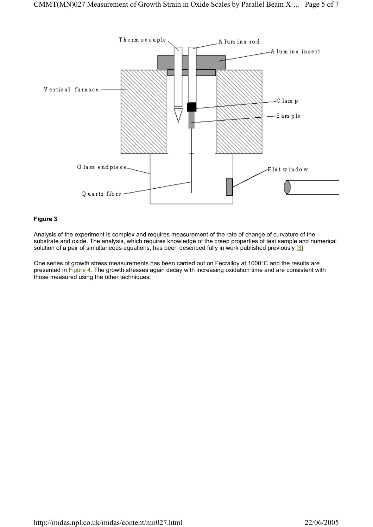

### **Figure 3**

Analysis of the experiment is complex and requires measurement of the rate of change of curvature of the substrate and oxide. The analysis, which requires knowledge of the creep properties of test sample and numerical solution of a pair of simultaneous equations, has been described fully in work published previously [3].

One series of growth stress measurements has been carried out on Fecralloy at 1000°C and the results are presented in Figure 4. The growth stresses again decay with increasing oxidation time and are consistent with those measured using the other techniques.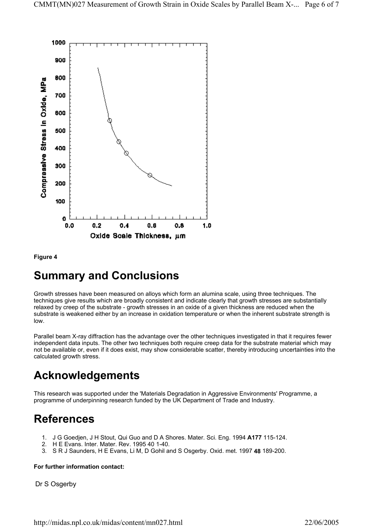

#### **Figure 4**

# **Summary and Conclusions**

Growth stresses have been measured on alloys which form an alumina scale, using three techniques. The techniques give results which are broadly consistent and indicate clearly that growth stresses are substantially relaxed by creep of the substrate - growth stresses in an oxide of a given thickness are reduced when the substrate is weakened either by an increase in oxidation temperature or when the inherent substrate strength is low.

Parallel beam X-ray diffraction has the advantage over the other techniques investigated in that it requires fewer independent data inputs. The other two techniques both require creep data for the substrate material which may not be available or, even if it does exist, may show considerable scatter, thereby introducing uncertainties into the calculated growth stress.

# **Acknowledgements**

This research was supported under the 'Materials Degradation in Aggressive Environments' Programme, a programme of underpinning research funded by the UK Department of Trade and Industry.

# **References**

- 1. J G Goedjen, J H Stout, Qui Guo and D A Shores. Mater. Sci. Eng. 1994 **A177** 115-124.
- 2. H E Evans. Inter. Mater. Rev. 1995 40 1-40.
- 3. S R J Saunders, H E Evans, Li M, D Gohil and S Osgerby. Oxid. met. 1997 **48** 189-200.

### **For further information contact:**